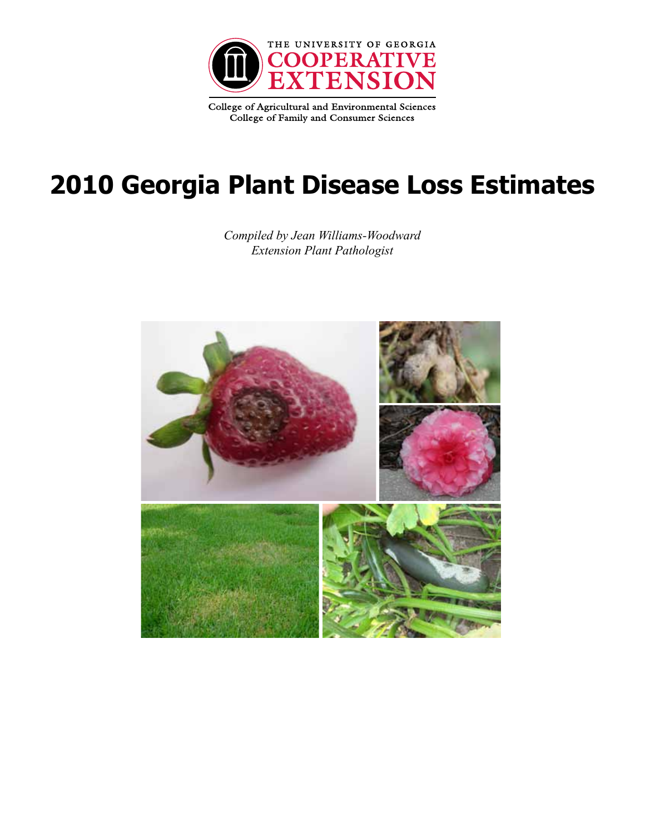

College of Agricultural and Environmental Sciences College of Family and Consumer Sciences

# **2010 Georgia Plant Disease Loss Estimates**

*Compiled by Jean Williams-Woodward Extension Plant Pathologist*

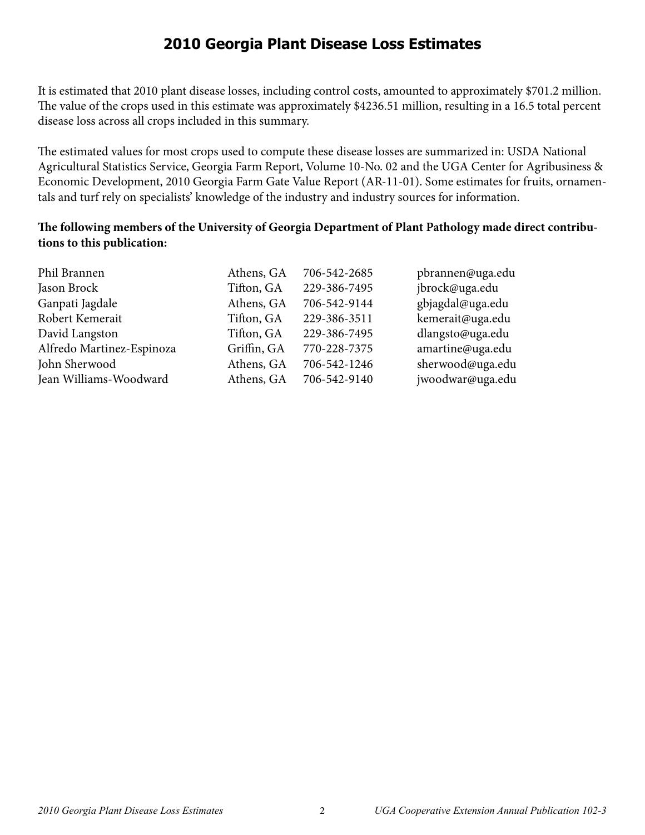#### **2010 Georgia Plant Disease Loss Estimates**

It is estimated that 2010 plant disease losses, including control costs, amounted to approximately \$701.2 million. The value of the crops used in this estimate was approximately \$4236.51 million, resulting in a 16.5 total percent disease loss across all crops included in this summary.

The estimated values for most crops used to compute these disease losses are summarized in: USDA National Agricultural Statistics Service, Georgia Farm Report, Volume 10-No. 02 and the UGA Center for Agribusiness & Economic Development, 2010 Georgia Farm Gate Value Report (AR-11-01). Some estimates for fruits, ornamentals and turf rely on specialists' knowledge of the industry and industry sources for information.

#### **The following members of the University of Georgia Department of Plant Pathology made direct contributions to this publication:**

| Phil Brannen              | Athens, GA  | 706-542-2685 | pbrannen@uga.edu |
|---------------------------|-------------|--------------|------------------|
| Jason Brock               | Tifton, GA  | 229-386-7495 | jbrock@uga.edu   |
| Ganpati Jagdale           | Athens, GA  | 706-542-9144 | gbjagdal@uga.edu |
| Robert Kemerait           | Tifton, GA  | 229-386-3511 | kemerait@uga.edu |
| David Langston            | Tifton, GA  | 229-386-7495 | dlangsto@uga.edu |
| Alfredo Martinez-Espinoza | Griffin, GA | 770-228-7375 | amartine@uga.edu |
| John Sherwood             | Athens, GA  | 706-542-1246 | sherwood@uga.edu |
| Jean Williams-Woodward    | Athens, GA  | 706-542-9140 | jwoodwar@uga.edu |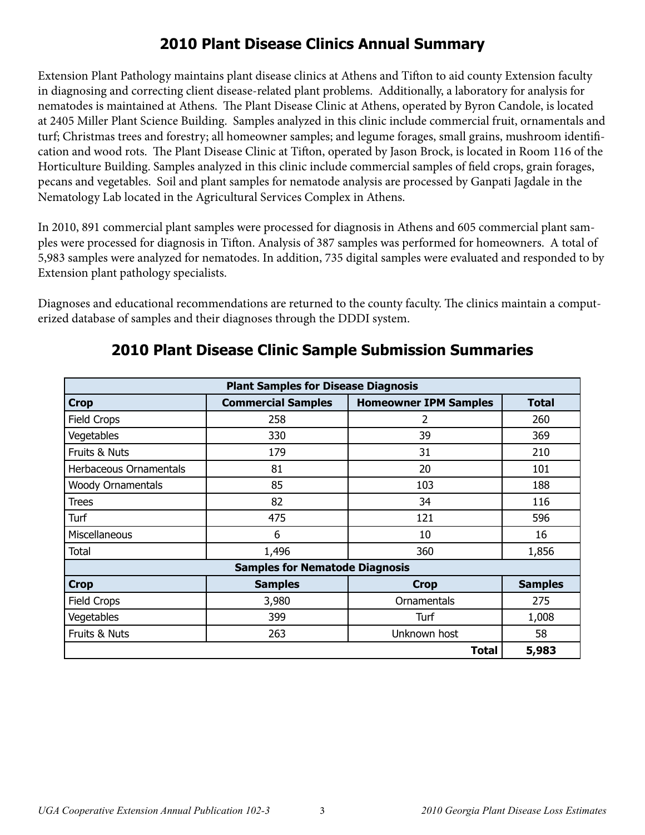# **2010 Plant Disease Clinics Annual Summary**

Extension Plant Pathology maintains plant disease clinics at Athens and Tifton to aid county Extension faculty in diagnosing and correcting client disease-related plant problems. Additionally, a laboratory for analysis for nematodes is maintained at Athens. The Plant Disease Clinic at Athens, operated by Byron Candole, is located at 2405 Miller Plant Science Building. Samples analyzed in this clinic include commercial fruit, ornamentals and turf; Christmas trees and forestry; all homeowner samples; and legume forages, small grains, mushroom identification and wood rots. The Plant Disease Clinic at Tifton, operated by Jason Brock, is located in Room 116 of the Horticulture Building. Samples analyzed in this clinic include commercial samples of field crops, grain forages, pecans and vegetables. Soil and plant samples for nematode analysis are processed by Ganpati Jagdale in the Nematology Lab located in the Agricultural Services Complex in Athens.

In 2010, 891 commercial plant samples were processed for diagnosis in Athens and 605 commercial plant samples were processed for diagnosis in Tifton. Analysis of 387 samples was performed for homeowners. A total of 5,983 samples were analyzed for nematodes. In addition, 735 digital samples were evaluated and responded to by Extension plant pathology specialists.

Diagnoses and educational recommendations are returned to the county faculty. The clinics maintain a computerized database of samples and their diagnoses through the DDDI system.

| <b>Plant Samples for Disease Diagnosis</b> |                                       |                              |                |  |  |
|--------------------------------------------|---------------------------------------|------------------------------|----------------|--|--|
| <b>Crop</b>                                | <b>Commercial Samples</b>             | <b>Homeowner IPM Samples</b> | <b>Total</b>   |  |  |
| Field Crops                                | 258                                   | 2                            | 260            |  |  |
| Vegetables                                 | 330                                   | 39                           | 369            |  |  |
| Fruits & Nuts                              | 179                                   | 31                           | 210            |  |  |
| Herbaceous Ornamentals                     | 81                                    | 20                           | 101            |  |  |
| <b>Woody Ornamentals</b>                   | 85                                    | 103                          | 188            |  |  |
| <b>Trees</b>                               | 82                                    | 34                           | 116            |  |  |
| Turf                                       | 475                                   | 121                          | 596            |  |  |
| Miscellaneous                              | 6                                     | 10                           | 16             |  |  |
| Total                                      | 1,496                                 | 360                          | 1,856          |  |  |
|                                            | <b>Samples for Nematode Diagnosis</b> |                              |                |  |  |
| <b>Crop</b>                                | <b>Samples</b>                        | <b>Crop</b>                  | <b>Samples</b> |  |  |
| Field Crops                                | 3,980                                 | Ornamentals                  | 275            |  |  |
| Vegetables                                 | 399                                   | Turf                         | 1,008          |  |  |
| Fruits & Nuts                              | 263                                   | Unknown host                 | 58             |  |  |
|                                            |                                       | <b>Total</b>                 | 5,983          |  |  |

#### **2010 Plant Disease Clinic Sample Submission Summaries**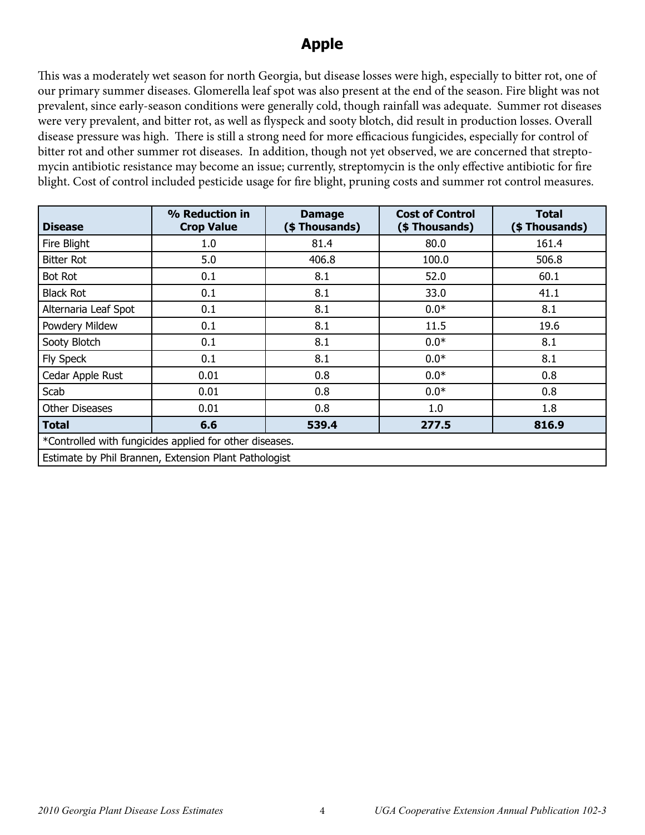# **Apple**

This was a moderately wet season for north Georgia, but disease losses were high, especially to bitter rot, one of our primary summer diseases. Glomerella leaf spot was also present at the end of the season. Fire blight was not prevalent, since early-season conditions were generally cold, though rainfall was adequate. Summer rot diseases were very prevalent, and bitter rot, as well as flyspeck and sooty blotch, did result in production losses. Overall disease pressure was high. There is still a strong need for more efficacious fungicides, especially for control of bitter rot and other summer rot diseases. In addition, though not yet observed, we are concerned that streptomycin antibiotic resistance may become an issue; currently, streptomycin is the only effective antibiotic for fire blight. Cost of control included pesticide usage for fire blight, pruning costs and summer rot control measures.

| <b>Disease</b>                                          | % Reduction in<br><b>Crop Value</b>                   | <b>Damage</b><br>(\$Thousands) | <b>Cost of Control</b><br>(\$ Thousands) | <b>Total</b><br>(\$ Thousands) |  |
|---------------------------------------------------------|-------------------------------------------------------|--------------------------------|------------------------------------------|--------------------------------|--|
| Fire Blight                                             | 1.0                                                   | 81.4                           | 80.0                                     | 161.4                          |  |
| <b>Bitter Rot</b>                                       | 5.0                                                   | 406.8                          | 100.0                                    | 506.8                          |  |
| <b>Bot Rot</b>                                          | 0.1                                                   | 8.1                            | 52.0                                     | 60.1                           |  |
| <b>Black Rot</b>                                        | 0.1                                                   | 8.1                            | 33.0                                     | 41.1                           |  |
| Alternaria Leaf Spot                                    | 0.1                                                   | 8.1                            | $0.0*$                                   | 8.1                            |  |
| Powdery Mildew                                          | 0.1                                                   | 8.1                            | 11.5                                     | 19.6                           |  |
| Sooty Blotch                                            | 0.1                                                   | 8.1                            | $0.0*$                                   | 8.1                            |  |
| Fly Speck                                               | 0.1                                                   | 8.1                            | $0.0*$                                   | 8.1                            |  |
| Cedar Apple Rust                                        | 0.01                                                  | 0.8                            | $0.0*$                                   | 0.8                            |  |
| Scab                                                    | 0.01                                                  | 0.8                            | $0.0*$                                   | 0.8                            |  |
| <b>Other Diseases</b>                                   | 0.01                                                  | 0.8                            | 1.0                                      | 1.8                            |  |
| Total                                                   | 6.6                                                   | 539.4                          | 277.5                                    | 816.9                          |  |
| *Controlled with fungicides applied for other diseases. |                                                       |                                |                                          |                                |  |
|                                                         | Estimate by Phil Brannen, Extension Plant Pathologist |                                |                                          |                                |  |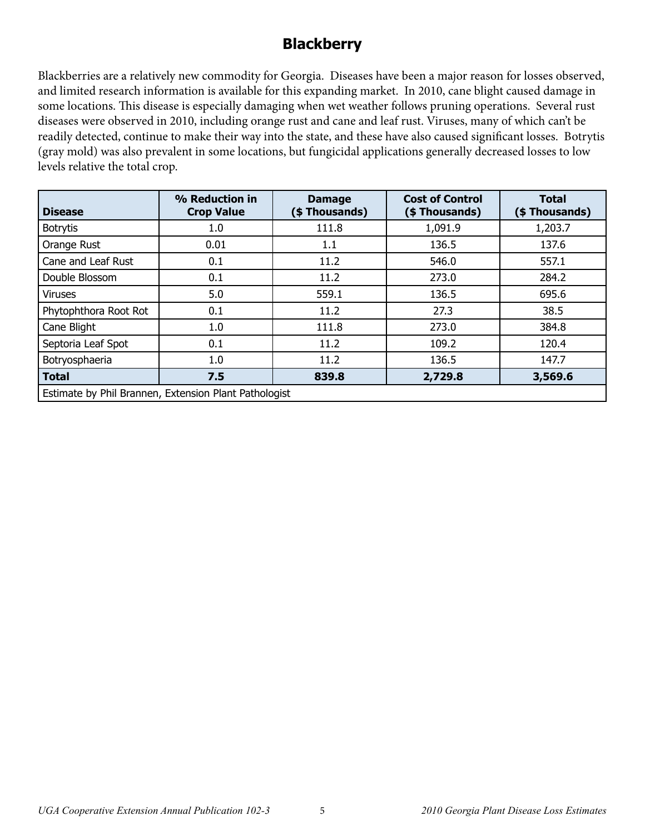# **Blackberry**

Blackberries are a relatively new commodity for Georgia. Diseases have been a major reason for losses observed, and limited research information is available for this expanding market. In 2010, cane blight caused damage in some locations. This disease is especially damaging when wet weather follows pruning operations. Several rust diseases were observed in 2010, including orange rust and cane and leaf rust. Viruses, many of which can't be readily detected, continue to make their way into the state, and these have also caused significant losses. Botrytis (gray mold) was also prevalent in some locations, but fungicidal applications generally decreased losses to low levels relative the total crop.

| <b>Disease</b>        | % Reduction in<br><b>Crop Value</b>                   | <b>Damage</b><br>(\$Thousands) | <b>Cost of Control</b><br>(\$Thousands) | <b>Total</b><br>(\$Thousands) |  |  |  |
|-----------------------|-------------------------------------------------------|--------------------------------|-----------------------------------------|-------------------------------|--|--|--|
| <b>Botrytis</b>       | 1.0                                                   | 111.8                          | 1,091.9                                 | 1,203.7                       |  |  |  |
| Orange Rust           | 0.01                                                  | 1.1                            | 136.5                                   | 137.6                         |  |  |  |
| Cane and Leaf Rust    | 0.1                                                   | 11.2                           | 546.0                                   | 557.1                         |  |  |  |
| Double Blossom        | 0.1                                                   | 11.2                           | 273.0                                   | 284.2                         |  |  |  |
| <b>Viruses</b>        | 5.0                                                   | 559.1                          | 136.5                                   | 695.6                         |  |  |  |
| Phytophthora Root Rot | 0.1                                                   | 11.2                           | 27.3                                    | 38.5                          |  |  |  |
| Cane Blight           | 1.0                                                   | 111.8                          | 273.0                                   | 384.8                         |  |  |  |
| Septoria Leaf Spot    | 0.1                                                   | 11.2                           | 109.2                                   | 120.4                         |  |  |  |
| Botryosphaeria        | 1.0                                                   | 11.2                           | 136.5                                   | 147.7                         |  |  |  |
| <b>Total</b>          | 7.5                                                   | 839.8                          | 2,729.8                                 | 3,569.6                       |  |  |  |
|                       | Estimate by Phil Brannen, Extension Plant Pathologist |                                |                                         |                               |  |  |  |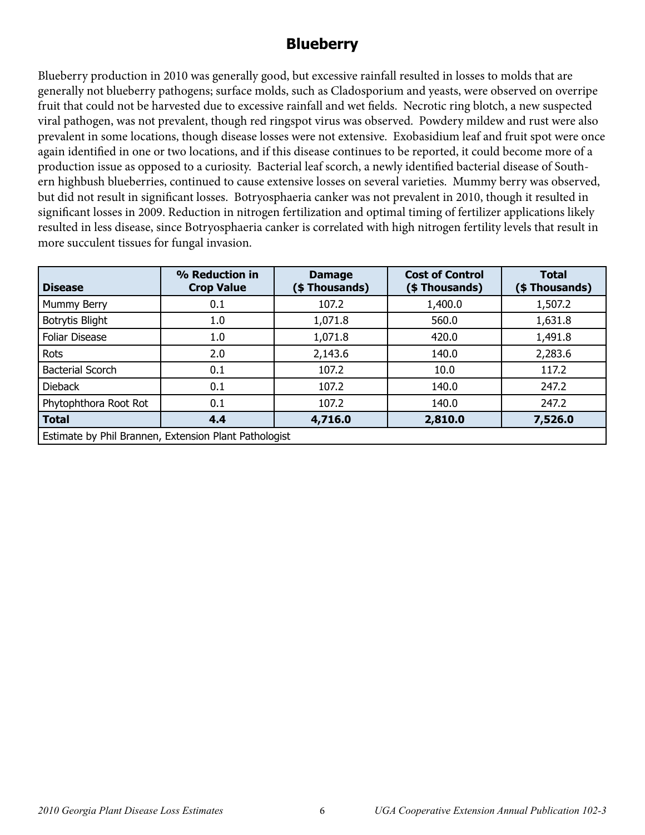## **Blueberry**

Blueberry production in 2010 was generally good, but excessive rainfall resulted in losses to molds that are generally not blueberry pathogens; surface molds, such as Cladosporium and yeasts, were observed on overripe fruit that could not be harvested due to excessive rainfall and wet fields. Necrotic ring blotch, a new suspected viral pathogen, was not prevalent, though red ringspot virus was observed. Powdery mildew and rust were also prevalent in some locations, though disease losses were not extensive. Exobasidium leaf and fruit spot were once again identified in one or two locations, and if this disease continues to be reported, it could become more of a production issue as opposed to a curiosity. Bacterial leaf scorch, a newly identified bacterial disease of Southern highbush blueberries, continued to cause extensive losses on several varieties. Mummy berry was observed, but did not result in significant losses. Botryosphaeria canker was not prevalent in 2010, though it resulted in significant losses in 2009. Reduction in nitrogen fertilization and optimal timing of fertilizer applications likely resulted in less disease, since Botryosphaeria canker is correlated with high nitrogen fertility levels that result in more succulent tissues for fungal invasion.

| <b>Disease</b>          | % Reduction in<br><b>Crop Value</b>                   | <b>Damage</b><br>(\$Thousands) | <b>Cost of Control</b><br>(\$ Thousands) | <b>Total</b><br>(\$Thousands) |  |  |
|-------------------------|-------------------------------------------------------|--------------------------------|------------------------------------------|-------------------------------|--|--|
| Mummy Berry             | 0.1                                                   | 107.2                          | 1,400.0                                  | 1,507.2                       |  |  |
| <b>Botrytis Blight</b>  | 1.0                                                   | 1,071.8                        | 560.0                                    | 1,631.8                       |  |  |
| <b>Foliar Disease</b>   | 1.0                                                   | 1,071.8                        | 420.0                                    | 1,491.8                       |  |  |
| Rots                    | 2.0                                                   | 2,143.6                        | 140.0                                    | 2,283.6                       |  |  |
| <b>Bacterial Scorch</b> | 0.1                                                   | 107.2                          | 10.0                                     | 117.2                         |  |  |
| <b>Dieback</b>          | 0.1                                                   | 107.2                          | 140.0                                    | 247.2                         |  |  |
| Phytophthora Root Rot   | 0.1                                                   | 107.2                          | 140.0                                    | 247.2                         |  |  |
| <b>Total</b>            | 4.4                                                   | 4,716.0                        | 2,810.0                                  | 7,526.0                       |  |  |
|                         | Estimate by Phil Brannen, Extension Plant Pathologist |                                |                                          |                               |  |  |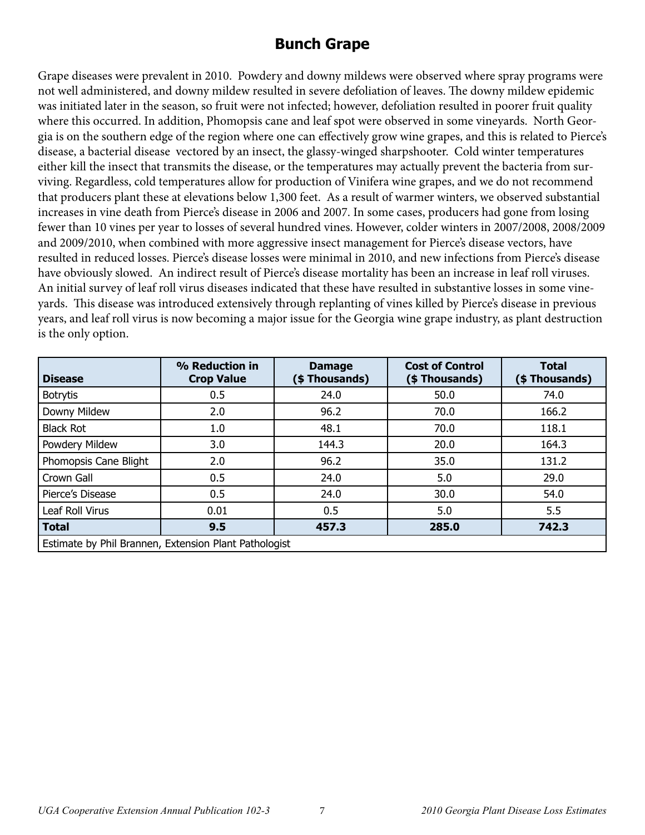# **Bunch Grape**

Grape diseases were prevalent in 2010. Powdery and downy mildews were observed where spray programs were not well administered, and downy mildew resulted in severe defoliation of leaves. The downy mildew epidemic was initiated later in the season, so fruit were not infected; however, defoliation resulted in poorer fruit quality where this occurred. In addition, Phomopsis cane and leaf spot were observed in some vineyards. North Georgia is on the southern edge of the region where one can effectively grow wine grapes, and this is related to Pierce's disease, a bacterial disease vectored by an insect, the glassy-winged sharpshooter. Cold winter temperatures either kill the insect that transmits the disease, or the temperatures may actually prevent the bacteria from surviving. Regardless, cold temperatures allow for production of Vinifera wine grapes, and we do not recommend that producers plant these at elevations below 1,300 feet. As a result of warmer winters, we observed substantial increases in vine death from Pierce's disease in 2006 and 2007. In some cases, producers had gone from losing fewer than 10 vines per year to losses of several hundred vines. However, colder winters in 2007/2008, 2008/2009 and 2009/2010, when combined with more aggressive insect management for Pierce's disease vectors, have resulted in reduced losses. Pierce's disease losses were minimal in 2010, and new infections from Pierce's disease have obviously slowed. An indirect result of Pierce's disease mortality has been an increase in leaf roll viruses. An initial survey of leaf roll virus diseases indicated that these have resulted in substantive losses in some vineyards. This disease was introduced extensively through replanting of vines killed by Pierce's disease in previous years, and leaf roll virus is now becoming a major issue for the Georgia wine grape industry, as plant destruction is the only option.

| <b>Disease</b>                                        | % Reduction in<br><b>Crop Value</b> | <b>Damage</b><br>(\$Thousands) | <b>Cost of Control</b><br>(\$Thousands) | <b>Total</b><br>(\$Thousands) |
|-------------------------------------------------------|-------------------------------------|--------------------------------|-----------------------------------------|-------------------------------|
| <b>Botrytis</b>                                       | 0.5                                 | 24.0                           | 50.0                                    | 74.0                          |
| Downy Mildew                                          | 2.0                                 | 96.2                           | 70.0                                    | 166.2                         |
| <b>Black Rot</b>                                      | 1.0                                 | 48.1                           | 70.0                                    | 118.1                         |
| Powdery Mildew                                        | 3.0                                 | 144.3                          | 20.0                                    | 164.3                         |
| Phomopsis Cane Blight                                 | 2.0                                 | 96.2                           | 35.0                                    | 131.2                         |
| Crown Gall                                            | 0.5                                 | 24.0                           | 5.0                                     | 29.0                          |
| Pierce's Disease                                      | 0.5                                 | 24.0                           | 30.0                                    | 54.0                          |
| Leaf Roll Virus                                       | 0.01                                | 0.5                            | 5.0                                     | 5.5                           |
| <b>Total</b>                                          | 9.5                                 | 457.3                          | 285.0                                   | 742.3                         |
| Estimate by Phil Brannen, Extension Plant Pathologist |                                     |                                |                                         |                               |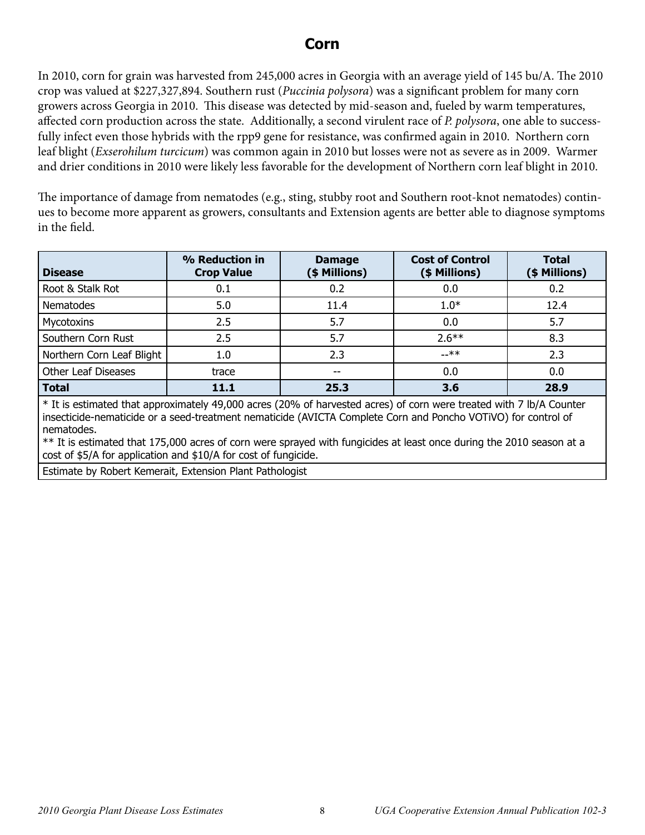#### **Corn**

In 2010, corn for grain was harvested from 245,000 acres in Georgia with an average yield of 145 bu/A. The 2010 crop was valued at \$227,327,894. Southern rust (*Puccinia polysora*) was a significant problem for many corn growers across Georgia in 2010. This disease was detected by mid-season and, fueled by warm temperatures, affected corn production across the state. Additionally, a second virulent race of *P. polysora*, one able to successfully infect even those hybrids with the rpp9 gene for resistance, was confirmed again in 2010. Northern corn leaf blight (*Exserohilum turcicum*) was common again in 2010 but losses were not as severe as in 2009. Warmer and drier conditions in 2010 were likely less favorable for the development of Northern corn leaf blight in 2010.

The importance of damage from nematodes (e.g., sting, stubby root and Southern root-knot nematodes) continues to become more apparent as growers, consultants and Extension agents are better able to diagnose symptoms in the field.

| <b>Disease</b>             | % Reduction in<br><b>Crop Value</b> | <b>Damage</b><br>(\$ Millions) | <b>Cost of Control</b><br>(\$ Millions) | <b>Total</b><br>(\$ Millions) |
|----------------------------|-------------------------------------|--------------------------------|-----------------------------------------|-------------------------------|
| Root & Stalk Rot           | 0.1                                 | 0.2                            | 0.0                                     | 0.2                           |
| Nematodes                  | 5.0                                 | 11.4                           | $1.0*$                                  | 12.4                          |
| Mycotoxins                 | 2.5                                 | 5.7                            | 0.0                                     | 5.7                           |
| Southern Corn Rust         | 2.5                                 | 5.7                            | $2.6***$                                | 8.3                           |
| Northern Corn Leaf Blight  | 1.0                                 | 2.3                            | $-x$ *                                  | 2.3                           |
| <b>Other Leaf Diseases</b> | trace                               | $- -$                          | 0.0                                     | 0.0                           |
| <b>Total</b>               | 11.1                                | 25.3                           | 3.6                                     | 28.9                          |

\* It is estimated that approximately 49,000 acres (20% of harvested acres) of corn were treated with 7 lb/A Counter insecticide-nematicide or a seed-treatment nematicide (AVICTA Complete Corn and Poncho VOTiVO) for control of nematodes.

\*\* It is estimated that 175,000 acres of corn were sprayed with fungicides at least once during the 2010 season at a cost of \$5/A for application and \$10/A for cost of fungicide.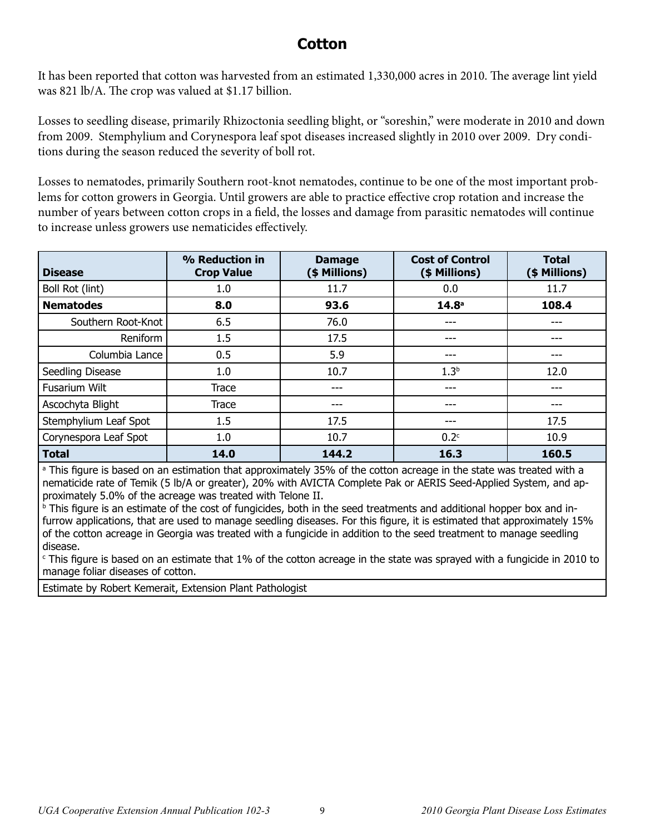## **Cotton**

It has been reported that cotton was harvested from an estimated 1,330,000 acres in 2010. The average lint yield was 821 lb/A. The crop was valued at \$1.17 billion.

Losses to seedling disease, primarily Rhizoctonia seedling blight, or "soreshin," were moderate in 2010 and down from 2009. Stemphylium and Corynespora leaf spot diseases increased slightly in 2010 over 2009. Dry conditions during the season reduced the severity of boll rot.

Losses to nematodes, primarily Southern root-knot nematodes, continue to be one of the most important problems for cotton growers in Georgia. Until growers are able to practice effective crop rotation and increase the number of years between cotton crops in a field, the losses and damage from parasitic nematodes will continue to increase unless growers use nematicides effectively.

| <b>Disease</b>        | % Reduction in<br><b>Crop Value</b> | <b>Damage</b><br>(\$ Millions) | <b>Cost of Control</b><br>(\$ Millions) | <b>Total</b><br>(\$ Millions) |
|-----------------------|-------------------------------------|--------------------------------|-----------------------------------------|-------------------------------|
| Boll Rot (lint)       | 1.0                                 | 11.7                           | 0.0                                     | 11.7                          |
| <b>Nematodes</b>      | 8.0                                 | 93.6                           | 14.8 <sup>a</sup>                       | 108.4                         |
| Southern Root-Knot    | 6.5                                 | 76.0                           | ---                                     | ---                           |
| Reniform              | 1.5                                 | 17.5                           | ---                                     |                               |
| Columbia Lance        | 0.5                                 | 5.9                            | ---                                     |                               |
| Seedling Disease      | 1.0                                 | 10.7                           | 1.3 <sup>b</sup>                        | 12.0                          |
| <b>Fusarium Wilt</b>  | Trace                               | ---                            | ---                                     |                               |
| Ascochyta Blight      | Trace                               | ---                            | ---                                     | ---                           |
| Stemphylium Leaf Spot | 1.5                                 | 17.5                           | ---                                     | 17.5                          |
| Corynespora Leaf Spot | 1.0                                 | 10.7                           | 0.2 <sup>c</sup>                        | 10.9                          |
| <b>Total</b>          | 14.0                                | 144.2                          | 16.3                                    | 160.5                         |

a This figure is based on an estimation that approximately 35% of the cotton acreage in the state was treated with a nematicide rate of Temik (5 lb/A or greater), 20% with AVICTA Complete Pak or AERIS Seed-Applied System, and approximately 5.0% of the acreage was treated with Telone II.

**b** This figure is an estimate of the cost of fungicides, both in the seed treatments and additional hopper box and infurrow applications, that are used to manage seedling diseases. For this figure, it is estimated that approximately 15% of the cotton acreage in Georgia was treated with a fungicide in addition to the seed treatment to manage seedling disease.

c This figure is based on an estimate that 1% of the cotton acreage in the state was sprayed with a fungicide in 2010 to manage foliar diseases of cotton.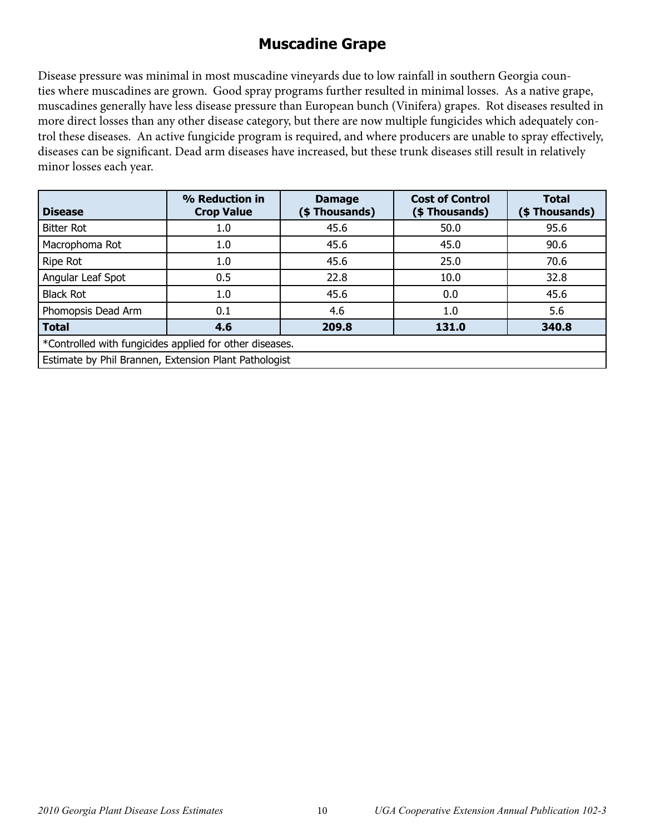# **Muscadine Grape**

Disease pressure was minimal in most muscadine vineyards due to low rainfall in southern Georgia counties where muscadines are grown. Good spray programs further resulted in minimal losses. As a native grape, muscadines generally have less disease pressure than European bunch (Vinifera) grapes. Rot diseases resulted in more direct losses than any other disease category, but there are now multiple fungicides which adequately control these diseases. An active fungicide program is required, and where producers are unable to spray effectively, diseases can be significant. Dead arm diseases have increased, but these trunk diseases still result in relatively minor losses each year.

| <b>Disease</b>                                          | % Reduction in<br><b>Crop Value</b> | <b>Damage</b><br>(\$ Thousands) | <b>Cost of Control</b><br>(\$Thousands) | <b>Total</b><br>(\$ Thousands) |  |
|---------------------------------------------------------|-------------------------------------|---------------------------------|-----------------------------------------|--------------------------------|--|
| <b>Bitter Rot</b>                                       | 1.0                                 | 45.6                            | 50.0                                    | 95.6                           |  |
| Macrophoma Rot                                          | 1.0                                 | 45.6                            | 45.0                                    | 90.6                           |  |
| Ripe Rot                                                | 1.0                                 | 45.6                            | 25.0                                    | 70.6                           |  |
| Angular Leaf Spot                                       | 0.5                                 | 22.8                            | 10.0                                    | 32.8                           |  |
| <b>Black Rot</b>                                        | 1.0                                 | 45.6                            | 0.0                                     | 45.6                           |  |
| Phomopsis Dead Arm                                      | 0.1                                 | 4.6                             | 1.0                                     | 5.6                            |  |
| <b>Total</b>                                            | 4.6                                 | 209.8                           | 131.0                                   | 340.8                          |  |
| *Controlled with fungicides applied for other diseases. |                                     |                                 |                                         |                                |  |
| Estimate by Phil Brannen, Extension Plant Pathologist   |                                     |                                 |                                         |                                |  |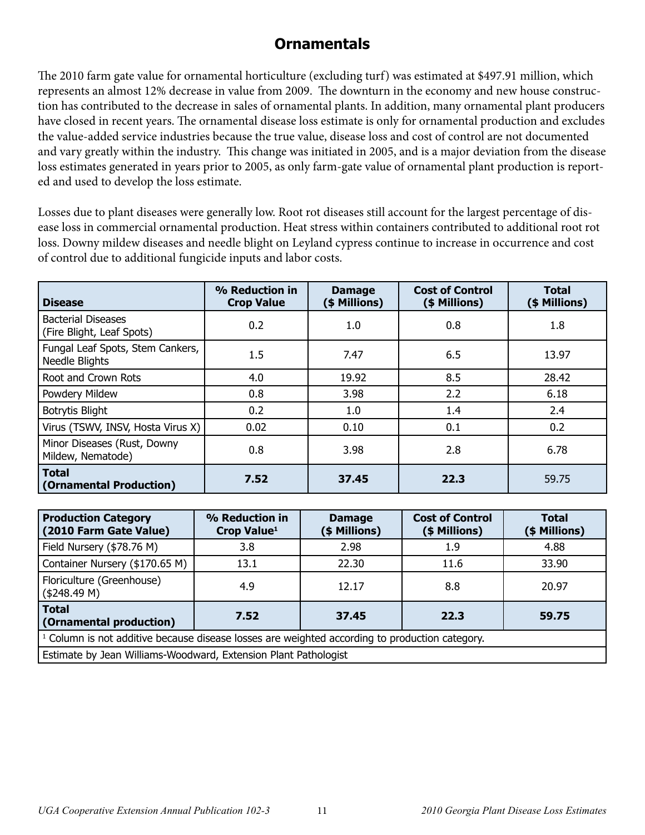# **Ornamentals**

The 2010 farm gate value for ornamental horticulture (excluding turf) was estimated at \$497.91 million, which represents an almost 12% decrease in value from 2009. The downturn in the economy and new house construction has contributed to the decrease in sales of ornamental plants. In addition, many ornamental plant producers have closed in recent years. The ornamental disease loss estimate is only for ornamental production and excludes the value-added service industries because the true value, disease loss and cost of control are not documented and vary greatly within the industry. This change was initiated in 2005, and is a major deviation from the disease loss estimates generated in years prior to 2005, as only farm-gate value of ornamental plant production is reported and used to develop the loss estimate.

Losses due to plant diseases were generally low. Root rot diseases still account for the largest percentage of disease loss in commercial ornamental production. Heat stress within containers contributed to additional root rot loss. Downy mildew diseases and needle blight on Leyland cypress continue to increase in occurrence and cost of control due to additional fungicide inputs and labor costs.

| <b>Disease</b>                                         | % Reduction in<br><b>Crop Value</b> | <b>Damage</b><br>(\$ Millions) | <b>Cost of Control</b><br>(\$ Millions) | <b>Total</b><br>(\$ Millions) |
|--------------------------------------------------------|-------------------------------------|--------------------------------|-----------------------------------------|-------------------------------|
| <b>Bacterial Diseases</b><br>(Fire Blight, Leaf Spots) | 0.2                                 | 1.0                            | 0.8                                     | 1.8                           |
| Fungal Leaf Spots, Stem Cankers,<br>Needle Blights     | 1.5                                 | 7.47                           | 6.5                                     | 13.97                         |
| Root and Crown Rots                                    | 4.0                                 | 19.92                          | 8.5                                     | 28.42                         |
| Powdery Mildew                                         | 0.8                                 | 3.98                           | 2.2                                     | 6.18                          |
| <b>Botrytis Blight</b>                                 | 0.2                                 | 1.0                            | 1.4                                     | 2.4                           |
| Virus (TSWV, INSV, Hosta Virus X)                      | 0.02                                | 0.10                           | 0.1                                     | 0.2                           |
| Minor Diseases (Rust, Downy<br>Mildew, Nematode)       | 0.8                                 | 3.98                           | 2.8                                     | 6.78                          |
| <b>Total</b><br>(Ornamental Production)                | 7.52                                | 37.45                          | 22.3                                    | 59.75                         |

| <b>Production Category</b><br>(2010 Farm Gate Value)                                             | % Reduction in<br>Crop Value <sup>1</sup>                       | <b>Damage</b><br>(\$ Millions) | <b>Cost of Control</b><br>(\$ Millions) | <b>Total</b><br>(\$ Millions) |  |
|--------------------------------------------------------------------------------------------------|-----------------------------------------------------------------|--------------------------------|-----------------------------------------|-------------------------------|--|
| Field Nursery (\$78.76 M)                                                                        | 3.8                                                             | 2.98                           | 1.9                                     | 4.88                          |  |
| Container Nursery (\$170.65 M)                                                                   | 13.1                                                            | 22.30                          | 11.6                                    | 33.90                         |  |
| Floriculture (Greenhouse)<br>(\$248.49 M)                                                        | 4.9                                                             | 12.17                          | 8.8                                     | 20.97                         |  |
| <b>Total</b><br>37.45<br>22.3<br>7.52<br>59.75<br>(Ornamental production)                        |                                                                 |                                |                                         |                               |  |
| $1$ Column is not additive because disease losses are weighted according to production category. |                                                                 |                                |                                         |                               |  |
|                                                                                                  | Estimate by Jean Williams-Woodward, Extension Plant Pathologist |                                |                                         |                               |  |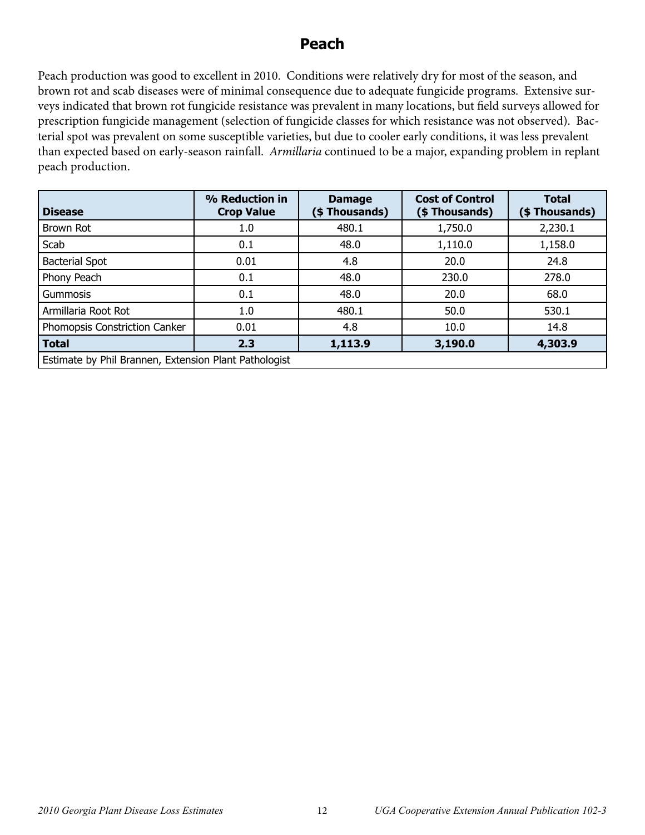#### **Peach**

Peach production was good to excellent in 2010. Conditions were relatively dry for most of the season, and brown rot and scab diseases were of minimal consequence due to adequate fungicide programs. Extensive surveys indicated that brown rot fungicide resistance was prevalent in many locations, but field surveys allowed for prescription fungicide management (selection of fungicide classes for which resistance was not observed). Bacterial spot was prevalent on some susceptible varieties, but due to cooler early conditions, it was less prevalent than expected based on early-season rainfall. *Armillaria* continued to be a major, expanding problem in replant peach production.

| <b>Disease</b>                                        | % Reduction in<br><b>Crop Value</b> | <b>Damage</b><br>(\$ Thousands) | <b>Cost of Control</b><br>(\$ Thousands) | <b>Total</b><br>(\$Thousands) |  |
|-------------------------------------------------------|-------------------------------------|---------------------------------|------------------------------------------|-------------------------------|--|
| Brown Rot                                             | 1.0                                 | 480.1                           | 1,750.0                                  | 2,230.1                       |  |
| Scab                                                  | 0.1                                 | 48.0                            | 1,110.0                                  | 1,158.0                       |  |
| <b>Bacterial Spot</b>                                 | 0.01                                | 4.8                             | 20.0                                     | 24.8                          |  |
| Phony Peach                                           | 0.1                                 | 48.0                            | 230.0                                    | 278.0                         |  |
| Gummosis                                              | 0.1                                 | 48.0                            | 20.0                                     | 68.0                          |  |
| Armillaria Root Rot                                   | 1.0                                 | 480.1                           | 50.0                                     | 530.1                         |  |
| Phomopsis Constriction Canker                         | 0.01                                | 4.8                             | 10.0                                     | 14.8                          |  |
| <b>Total</b>                                          | 2.3                                 | 1,113.9                         | 3,190.0                                  | 4,303.9                       |  |
| Estimate by Phil Brannen, Extension Plant Pathologist |                                     |                                 |                                          |                               |  |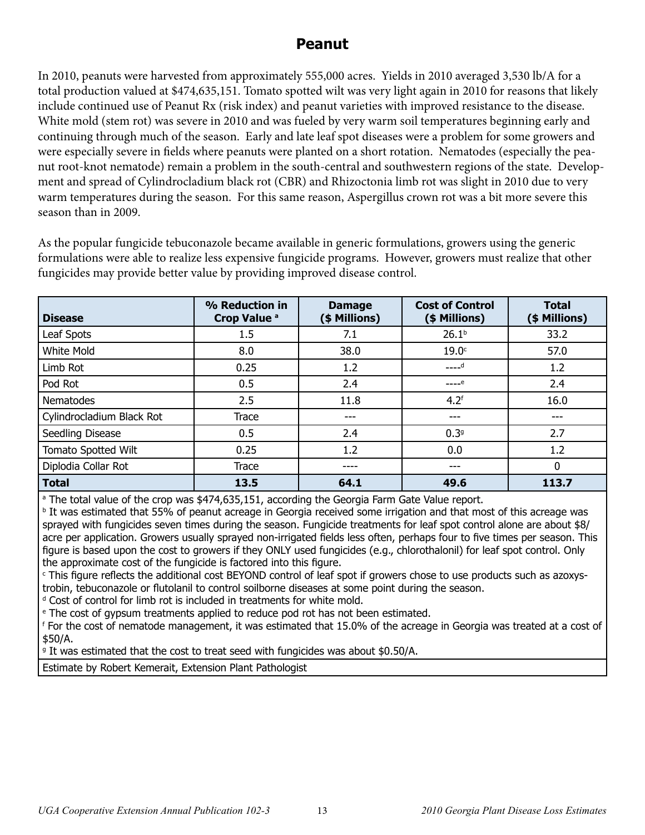# **Peanut**

In 2010, peanuts were harvested from approximately 555,000 acres. Yields in 2010 averaged 3,530 lb/A for a total production valued at \$474,635,151. Tomato spotted wilt was very light again in 2010 for reasons that likely include continued use of Peanut Rx (risk index) and peanut varieties with improved resistance to the disease. White mold (stem rot) was severe in 2010 and was fueled by very warm soil temperatures beginning early and continuing through much of the season. Early and late leaf spot diseases were a problem for some growers and were especially severe in fields where peanuts were planted on a short rotation. Nematodes (especially the peanut root-knot nematode) remain a problem in the south-central and southwestern regions of the state. Development and spread of Cylindrocladium black rot (CBR) and Rhizoctonia limb rot was slight in 2010 due to very warm temperatures during the season. For this same reason, Aspergillus crown rot was a bit more severe this season than in 2009.

As the popular fungicide tebuconazole became available in generic formulations, growers using the generic formulations were able to realize less expensive fungicide programs. However, growers must realize that other fungicides may provide better value by providing improved disease control.

| <b>Disease</b>            | % Reduction in<br>Crop Value <sup>a</sup> | <b>Damage</b><br>(\$ Millions) | <b>Cost of Control</b><br>(\$ Millions) | <b>Total</b><br>(\$ Millions) |  |
|---------------------------|-------------------------------------------|--------------------------------|-----------------------------------------|-------------------------------|--|
| Leaf Spots                | 1.5                                       | 7.1                            | 26.1 <sup>b</sup>                       | 33.2                          |  |
| White Mold                | 8.0                                       | 38.0                           | 19.0 <sub>c</sub>                       | 57.0                          |  |
| Limb Rot                  | 0.25                                      | 1.2                            | $---d$                                  | 1.2                           |  |
| Pod Rot                   | 0.5                                       | 2.4                            | $---e$                                  | 2.4                           |  |
| <b>Nematodes</b>          | 2.5                                       | 11.8                           | 4.2 <sup>f</sup>                        | 16.0                          |  |
| Cylindrocladium Black Rot | <b>Trace</b>                              | ---                            | ---                                     | ---                           |  |
| Seedling Disease          | 0.5                                       | 2.4                            | 0.39                                    | 2.7                           |  |
| Tomato Spotted Wilt       | 0.25                                      | 1.2                            | 0.0                                     | 1.2                           |  |
| Diplodia Collar Rot       | <b>Trace</b>                              | ----                           | ---                                     | 0                             |  |
| <b>Total</b>              | 13.5                                      | 64.1                           | 49.6                                    | 113.7                         |  |

<sup>a</sup> The total value of the crop was \$474,635,151, according the Georgia Farm Gate Value report.

**<sup>b</sup> It was estimated that 55% of peanut acreage in Georgia received some irrigation and that most of this acreage was** sprayed with fungicides seven times during the season. Fungicide treatments for leaf spot control alone are about \$8/ acre per application. Growers usually sprayed non-irrigated fields less often, perhaps four to five times per season. This figure is based upon the cost to growers if they ONLY used fungicides (e.g., chlorothalonil) for leaf spot control. Only the approximate cost of the fungicide is factored into this figure.

c This figure reflects the additional cost BEYOND control of leaf spot if growers chose to use products such as azoxystrobin, tebuconazole or flutolanil to control soilborne diseases at some point during the season.

<sup>d</sup> Cost of control for limb rot is included in treatments for white mold.

<sup>e</sup> The cost of gypsum treatments applied to reduce pod rot has not been estimated.

f For the cost of nematode management, it was estimated that 15.0% of the acreage in Georgia was treated at a cost of \$50/A.

<sup>9</sup> It was estimated that the cost to treat seed with fungicides was about \$0.50/A.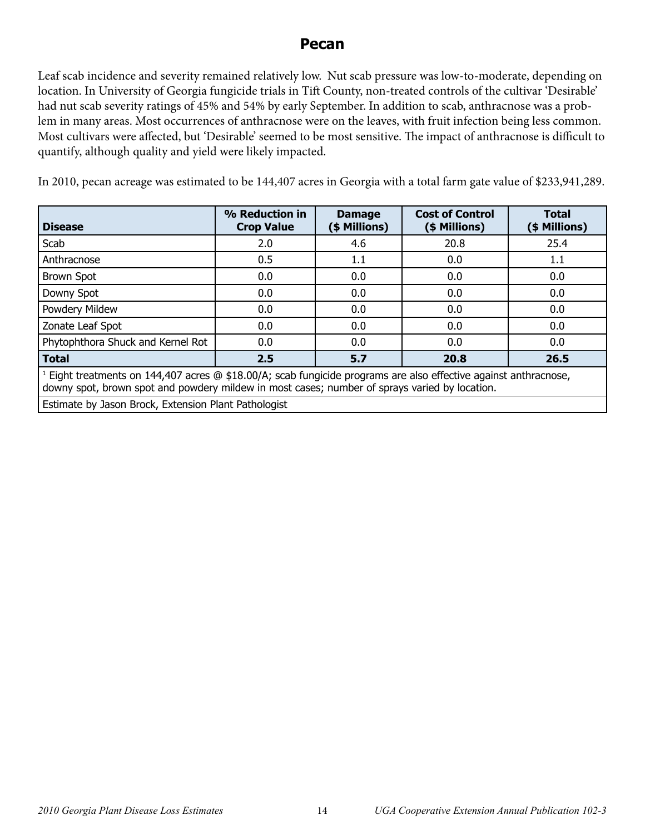#### **Pecan**

Leaf scab incidence and severity remained relatively low. Nut scab pressure was low-to-moderate, depending on location. In University of Georgia fungicide trials in Tift County, non-treated controls of the cultivar 'Desirable' had nut scab severity ratings of 45% and 54% by early September. In addition to scab, anthracnose was a problem in many areas. Most occurrences of anthracnose were on the leaves, with fruit infection being less common. Most cultivars were affected, but 'Desirable' seemed to be most sensitive. The impact of anthracnose is difficult to quantify, although quality and yield were likely impacted.

In 2010, pecan acreage was estimated to be 144,407 acres in Georgia with a total farm gate value of \$233,941,289.

| <b>Disease</b>                                                                                                                                                                                                      | % Reduction in<br><b>Cost of Control</b><br><b>Damage</b><br>(\$ Millions)<br><b>Crop Value</b><br>(\$ Millions) |     | <b>Total</b><br>(\$ Millions) |      |  |  |
|---------------------------------------------------------------------------------------------------------------------------------------------------------------------------------------------------------------------|------------------------------------------------------------------------------------------------------------------|-----|-------------------------------|------|--|--|
| Scab                                                                                                                                                                                                                | 2.0                                                                                                              | 4.6 | 20.8                          | 25.4 |  |  |
| Anthracnose                                                                                                                                                                                                         | 0.5                                                                                                              | 1.1 | 0.0                           | 1.1  |  |  |
| <b>Brown Spot</b>                                                                                                                                                                                                   | 0.0                                                                                                              | 0.0 | 0.0                           | 0.0  |  |  |
| Downy Spot                                                                                                                                                                                                          | 0.0                                                                                                              | 0.0 | 0.0                           | 0.0  |  |  |
| Powdery Mildew                                                                                                                                                                                                      | 0.0                                                                                                              | 0.0 | 0.0                           | 0.0  |  |  |
| Zonate Leaf Spot                                                                                                                                                                                                    | 0.0                                                                                                              | 0.0 | 0.0                           | 0.0  |  |  |
| Phytophthora Shuck and Kernel Rot                                                                                                                                                                                   | 0.0                                                                                                              | 0.0 | 0.0                           | 0.0  |  |  |
| <b>Total</b>                                                                                                                                                                                                        | 2.5<br>5.7<br>26.5<br>20.8                                                                                       |     |                               |      |  |  |
| $1$ Eight treatments on 144,407 acres @ \$18.00/A; scab fungicide programs are also effective against anthracnose,<br>downy spot, brown spot and powdery mildew in most cases; number of sprays varied by location. |                                                                                                                  |     |                               |      |  |  |

Estimate by Jason Brock, Extension Plant Pathologist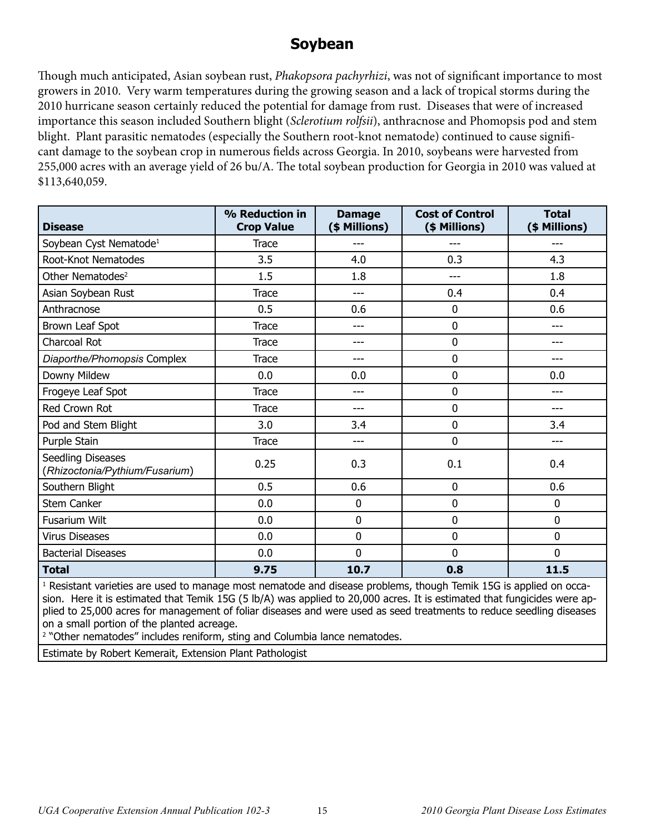#### **Soybean**

Though much anticipated, Asian soybean rust, *Phakopsora pachyrhizi*, was not of significant importance to most growers in 2010. Very warm temperatures during the growing season and a lack of tropical storms during the 2010 hurricane season certainly reduced the potential for damage from rust. Diseases that were of increased importance this season included Southern blight (*Sclerotium rolfsii*), anthracnose and Phomopsis pod and stem blight. Plant parasitic nematodes (especially the Southern root-knot nematode) continued to cause significant damage to the soybean crop in numerous fields across Georgia. In 2010, soybeans were harvested from 255,000 acres with an average yield of 26 bu/A. The total soybean production for Georgia in 2010 was valued at \$113,640,059.

| <b>Disease</b>                                      | % Reduction in<br><b>Crop Value</b> | <b>Damage</b><br>(\$ Millions) | <b>Cost of Control</b><br>(\$ Millions) | <b>Total</b><br>(\$ Millions) |
|-----------------------------------------------------|-------------------------------------|--------------------------------|-----------------------------------------|-------------------------------|
| Soybean Cyst Nematode <sup>1</sup>                  | Trace                               |                                |                                         | ---                           |
| Root-Knot Nematodes                                 | 3.5                                 | 4.0                            | 0.3                                     | 4.3                           |
| Other Nematodes <sup>2</sup>                        | 1.5                                 | 1.8                            | ---                                     | 1.8                           |
| Asian Soybean Rust                                  | <b>Trace</b>                        | ---                            | 0.4                                     | 0.4                           |
| Anthracnose                                         | 0.5                                 | 0.6                            | 0                                       | 0.6                           |
| Brown Leaf Spot                                     | <b>Trace</b>                        | ---                            | 0                                       | ---                           |
| Charcoal Rot                                        | <b>Trace</b>                        | ---                            | 0                                       | ---                           |
| Diaporthe/Phomopsis Complex                         | Trace                               | ---                            | 0                                       | ---                           |
| Downy Mildew                                        | 0.0                                 | 0.0                            | 0                                       | 0.0                           |
| Frogeye Leaf Spot                                   | <b>Trace</b>                        | ---                            | 0                                       | ---                           |
| Red Crown Rot                                       | <b>Trace</b>                        | ---                            | 0                                       | ---                           |
| Pod and Stem Blight                                 | 3.0                                 | 3.4                            | 0                                       | 3.4                           |
| Purple Stain                                        | Trace                               | ---                            | 0                                       | ---                           |
| Seedling Diseases<br>(Rhizoctonia/Pythium/Fusarium) | 0.25                                | 0.3                            | 0.1                                     | 0.4                           |
| Southern Blight                                     | 0.5                                 | 0.6                            | 0                                       | 0.6                           |
| <b>Stem Canker</b>                                  | 0.0                                 | 0                              | 0                                       | 0                             |
| <b>Fusarium Wilt</b>                                | 0.0                                 | 0                              | 0                                       | 0                             |
| <b>Virus Diseases</b>                               | 0.0                                 | 0                              | 0<br>0                                  |                               |
| <b>Bacterial Diseases</b>                           | 0.0                                 | 0                              | 0                                       | 0                             |
| <b>Total</b>                                        | 9.75                                | 10.7                           | 0.8                                     | 11.5                          |

<sup>1</sup> Resistant varieties are used to manage most nematode and disease problems, though Temik 15G is applied on occasion. Here it is estimated that Temik 15G (5 lb/A) was applied to 20,000 acres. It is estimated that fungicides were applied to 25,000 acres for management of foliar diseases and were used as seed treatments to reduce seedling diseases on a small portion of the planted acreage.

<sup>2</sup> "Other nematodes" includes reniform, sting and Columbia lance nematodes.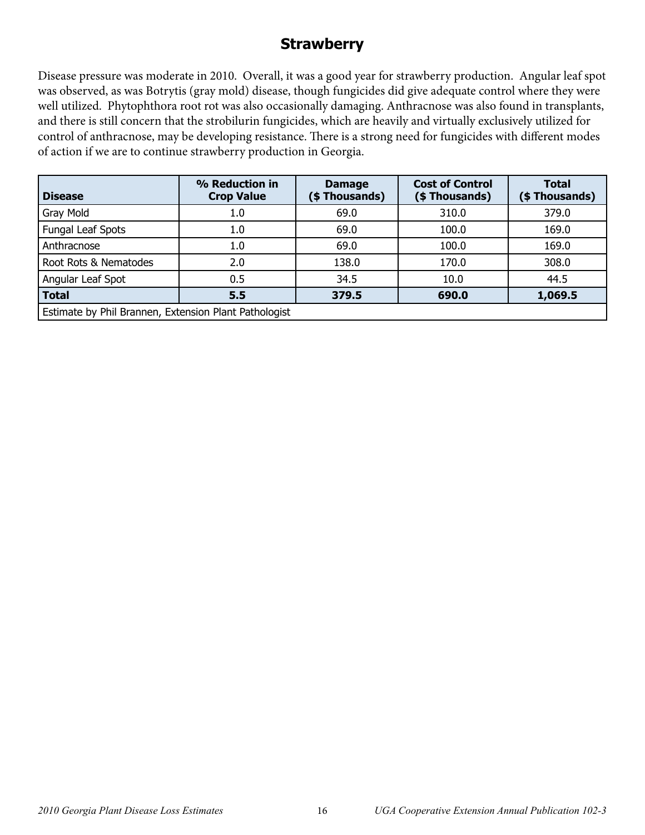### **Strawberry**

Disease pressure was moderate in 2010. Overall, it was a good year for strawberry production. Angular leaf spot was observed, as was Botrytis (gray mold) disease, though fungicides did give adequate control where they were well utilized. Phytophthora root rot was also occasionally damaging. Anthracnose was also found in transplants, and there is still concern that the strobilurin fungicides, which are heavily and virtually exclusively utilized for control of anthracnose, may be developing resistance. There is a strong need for fungicides with different modes of action if we are to continue strawberry production in Georgia.

| <b>Disease</b>                                        | % Reduction in<br><b>Crop Value</b> | <b>Damage</b><br>(\$Thousands) | <b>Cost of Control</b><br>(\$ Thousands) | <b>Total</b><br>(\$Thousands) |  |
|-------------------------------------------------------|-------------------------------------|--------------------------------|------------------------------------------|-------------------------------|--|
| Gray Mold                                             | 1.0                                 | 69.0                           | 310.0                                    | 379.0                         |  |
| Fungal Leaf Spots                                     | 1.0                                 | 69.0                           | 100.0                                    | 169.0                         |  |
| Anthracnose                                           | 1.0                                 | 69.0                           | 100.0                                    | 169.0                         |  |
| Root Rots & Nematodes                                 | 2.0                                 | 138.0                          | 170.0                                    | 308.0                         |  |
| Angular Leaf Spot                                     | 0.5                                 | 34.5                           | 10.0                                     | 44.5                          |  |
| <b>Total</b>                                          | 5.5                                 | 379.5                          | 690.0                                    | 1,069.5                       |  |
| Estimate by Phil Brannen, Extension Plant Pathologist |                                     |                                |                                          |                               |  |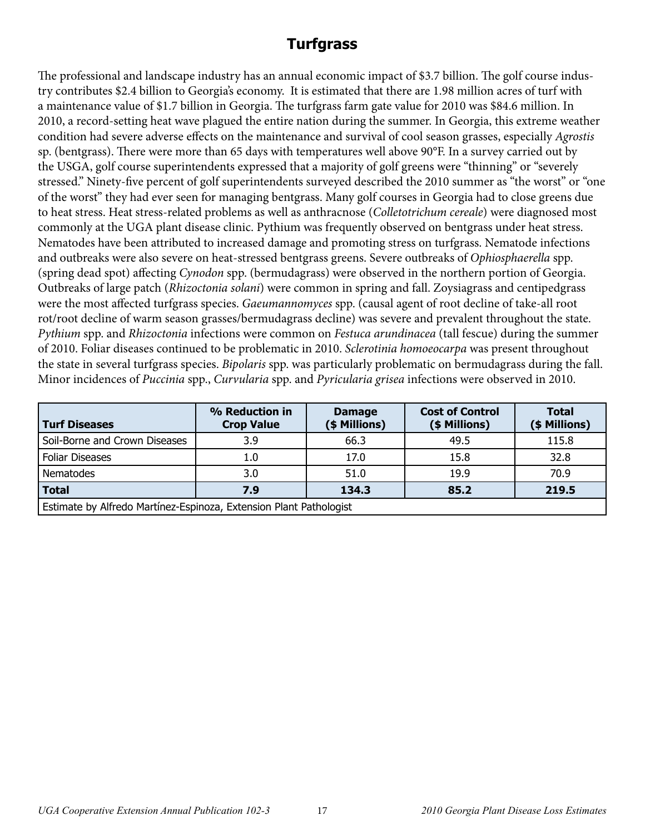# **Turfgrass**

The professional and landscape industry has an annual economic impact of \$3.7 billion. The golf course industry contributes \$2.4 billion to Georgia's economy. It is estimated that there are 1.98 million acres of turf with a maintenance value of \$1.7 billion in Georgia. The turfgrass farm gate value for 2010 was \$84.6 million. In 2010, a record-setting heat wave plagued the entire nation during the summer. In Georgia, this extreme weather condition had severe adverse effects on the maintenance and survival of cool season grasses, especially *Agrostis* sp. (bentgrass). There were more than 65 days with temperatures well above 90°F. In a survey carried out by the USGA, golf course superintendents expressed that a majority of golf greens were "thinning" or "severely stressed." Ninety-five percent of golf superintendents surveyed described the 2010 summer as "the worst" or "one of the worst" they had ever seen for managing bentgrass. Many golf courses in Georgia had to close greens due to heat stress. Heat stress-related problems as well as anthracnose (*Colletotrichum cereale*) were diagnosed most commonly at the UGA plant disease clinic. Pythium was frequently observed on bentgrass under heat stress. Nematodes have been attributed to increased damage and promoting stress on turfgrass. Nematode infections and outbreaks were also severe on heat-stressed bentgrass greens. Severe outbreaks of *Ophiosphaerella* spp. (spring dead spot) affecting *Cynodon* spp. (bermudagrass) were observed in the northern portion of Georgia. Outbreaks of large patch (*Rhizoctonia solani*) were common in spring and fall. Zoysiagrass and centipedgrass were the most affected turfgrass species. *Gaeumannomyces* spp. (causal agent of root decline of take-all root rot/root decline of warm season grasses/bermudagrass decline) was severe and prevalent throughout the state. *Pythium* spp. and *Rhizoctonia* infections were common on *Festuca arundinacea* (tall fescue) during the summer of 2010. Foliar diseases continued to be problematic in 2010. *Sclerotinia homoeocarpa* was present throughout the state in several turfgrass species. *Bipolaris* spp. was particularly problematic on bermudagrass during the fall. Minor incidences of *Puccinia* spp., *Curvularia* spp. and *Pyricularia grisea* infections were observed in 2010.

| Turf Diseases                                                      | % Reduction in<br><b>Crop Value</b> | <b>Damage</b><br>(\$ Millions) | <b>Cost of Control</b><br>(\$ Millions) | <b>Total</b><br>(\$ Millions) |  |  |
|--------------------------------------------------------------------|-------------------------------------|--------------------------------|-----------------------------------------|-------------------------------|--|--|
| Soil-Borne and Crown Diseases                                      | 3.9                                 | 66.3                           | 49.5                                    | 115.8                         |  |  |
| <b>Foliar Diseases</b>                                             | 1.0                                 | 17.0                           | 15.8                                    | 32.8                          |  |  |
| Nematodes                                                          | 3.0                                 | 51.0                           | 19.9                                    | 70.9                          |  |  |
| <b>Total</b>                                                       | 7.9                                 | 134.3                          | 85.2                                    | 219.5                         |  |  |
| Estimate by Alfredo Martínez-Espinoza, Extension Plant Pathologist |                                     |                                |                                         |                               |  |  |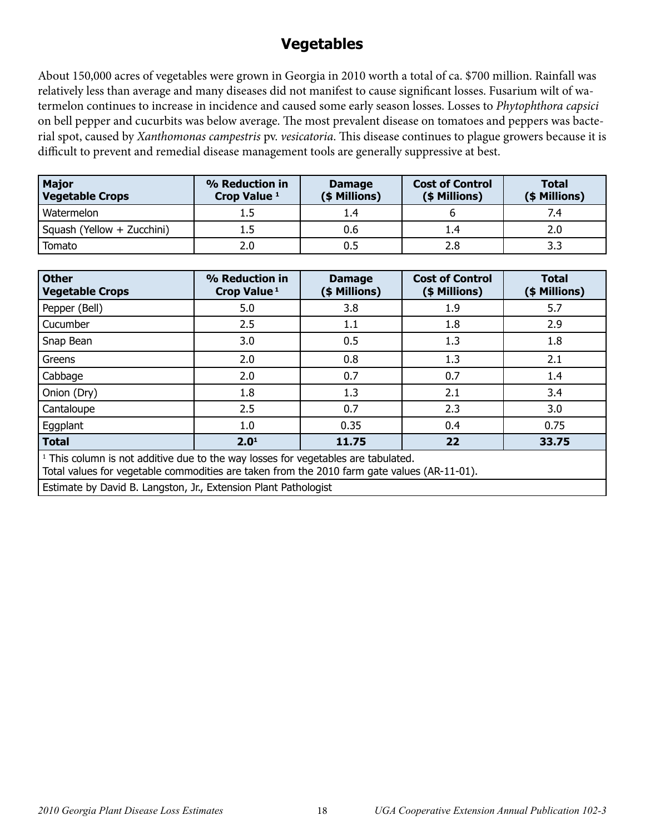# **Vegetables**

About 150,000 acres of vegetables were grown in Georgia in 2010 worth a total of ca. \$700 million. Rainfall was relatively less than average and many diseases did not manifest to cause significant losses. Fusarium wilt of watermelon continues to increase in incidence and caused some early season losses. Losses to *Phytophthora capsici* on bell pepper and cucurbits was below average. The most prevalent disease on tomatoes and peppers was bacterial spot, caused by *Xanthomonas campestris* pv. *vesicatoria*. This disease continues to plague growers because it is difficult to prevent and remedial disease management tools are generally suppressive at best.

| Major<br><b>Vegetable Crops</b> | % Reduction in<br>Crop Value <sup>1</sup> | <b>Damage</b><br>(\$ Millions) | <b>Cost of Control</b><br>(\$ Millions) | <b>Total</b><br>(\$ Millions) |  |
|---------------------------------|-------------------------------------------|--------------------------------|-----------------------------------------|-------------------------------|--|
| Watermelon                      |                                           | 1.4                            |                                         | 7.4                           |  |
| Squash (Yellow + Zucchini)      |                                           | 0.6                            | 1.4                                     | 2.0                           |  |
| Tomato                          | 2.0                                       |                                | 2.8                                     | 3.3                           |  |

| <b>Other</b><br><b>Vegetable Crops</b>                                                                                                                                                      | % Reduction in<br>Crop Value <sup>1</sup> | <b>Damage</b><br>(\$ Millions) | <b>Cost of Control</b><br>(\$ Millions) | <b>Total</b><br>(\$ Millions) |  |  |  |
|---------------------------------------------------------------------------------------------------------------------------------------------------------------------------------------------|-------------------------------------------|--------------------------------|-----------------------------------------|-------------------------------|--|--|--|
| Pepper (Bell)                                                                                                                                                                               | 5.0                                       | 3.8                            | 1.9                                     | 5.7                           |  |  |  |
| Cucumber                                                                                                                                                                                    | 2.5                                       | 1.1                            | 1.8                                     | 2.9                           |  |  |  |
| Snap Bean                                                                                                                                                                                   | 3.0                                       | 0.5                            | 1.3                                     | 1.8                           |  |  |  |
| Greens                                                                                                                                                                                      | 2.0                                       | 0.8                            | 1.3                                     | 2.1                           |  |  |  |
| Cabbage                                                                                                                                                                                     | 2.0                                       | 0.7                            | 0.7                                     | 1.4                           |  |  |  |
| Onion (Dry)                                                                                                                                                                                 | 1.8                                       | 1.3                            | 2.1                                     | 3.4                           |  |  |  |
| Cantaloupe                                                                                                                                                                                  | 2.5                                       | 0.7                            | 2.3                                     | 3.0                           |  |  |  |
| Eggplant                                                                                                                                                                                    | 1.0                                       | 0.35                           | 0.4                                     | 0.75                          |  |  |  |
| <b>Total</b>                                                                                                                                                                                | 2.0 <sup>1</sup>                          | 11.75<br>22<br>33.75           |                                         |                               |  |  |  |
| <sup>1</sup> This column is not additive due to the way losses for vegetables are tabulated.<br>Total values for vegetable commodities are taken from the 2010 farm gate values (AR-11-01). |                                           |                                |                                         |                               |  |  |  |

Estimate by David B. Langston, Jr., Extension Plant Pathologist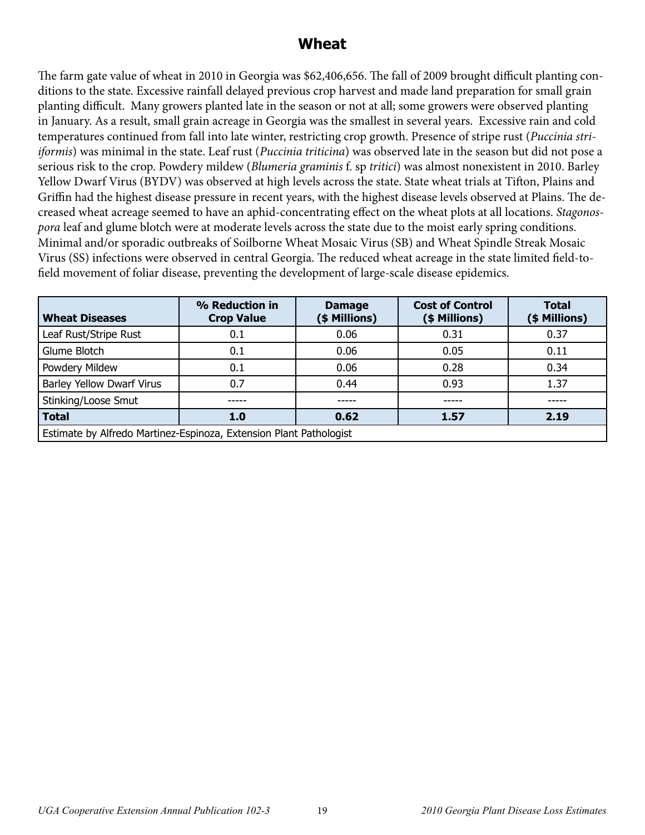#### **Wheat**

The farm gate value of wheat in 2010 in Georgia was \$62,406,656. The fall of 2009 brought difficult planting conditions to the state. Excessive rainfall delayed previous crop harvest and made land preparation for small grain planting difficult. Many growers planted late in the season or not at all; some growers were observed planting in January. As a result, small grain acreage in Georgia was the smallest in several years. Excessive rain and cold temperatures continued from fall into late winter, restricting crop growth. Presence of stripe rust (*Puccinia striiformis*) was minimal in the state. Leaf rust (*Puccinia triticina*) was observed late in the season but did not pose a serious risk to the crop. Powdery mildew (*Blumeria graminis* f. sp *tritici*) was almost nonexistent in 2010. Barley Yellow Dwarf Virus (BYDV) was observed at high levels across the state. State wheat trials at Tifton, Plains and Griffin had the highest disease pressure in recent years, with the highest disease levels observed at Plains. The decreased wheat acreage seemed to have an aphid-concentrating effect on the wheat plots at all locations. *Stagonospora* leaf and glume blotch were at moderate levels across the state due to the moist early spring conditions. Minimal and/or sporadic outbreaks of Soilborne Wheat Mosaic Virus (SB) and Wheat Spindle Streak Mosaic Virus (SS) infections were observed in central Georgia. The reduced wheat acreage in the state limited field-tofield movement of foliar disease, preventing the development of large-scale disease epidemics.

| <b>Wheat Diseases</b>                                              | % Reduction in<br><b>Crop Value</b> | <b>Damage</b><br>(\$ Millions) | <b>Cost of Control</b><br>(\$ Millions) | <b>Total</b><br>(\$ Millions) |  |
|--------------------------------------------------------------------|-------------------------------------|--------------------------------|-----------------------------------------|-------------------------------|--|
| Leaf Rust/Stripe Rust                                              | 0.1                                 | 0.06                           | 0.31                                    | 0.37                          |  |
| Glume Blotch                                                       | 0.1                                 | 0.06                           | 0.05                                    | 0.11                          |  |
| Powdery Mildew                                                     | 0.1                                 | 0.06                           | 0.28                                    | 0.34                          |  |
| <b>Barley Yellow Dwarf Virus</b>                                   | 0.7                                 | 0.44                           | 0.93                                    | 1.37                          |  |
| Stinking/Loose Smut                                                |                                     |                                |                                         |                               |  |
| <b>Total</b>                                                       | 1.0                                 | 0.62                           | 1.57                                    | 2.19                          |  |
| Estimate by Alfredo Martinez-Espinoza, Extension Plant Pathologist |                                     |                                |                                         |                               |  |